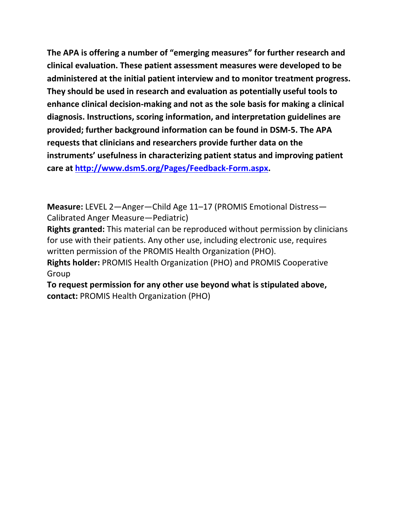**The APA is offering a number of "emerging measures" for further research and clinical evaluation. These patient assessment measures were developed to be administered at the initial patient interview and to monitor treatment progress. They should be used in research and evaluation as potentially useful tools to enhance clinical decision-making and not as the sole basis for making a clinical diagnosis. Instructions, scoring information, and interpretation guidelines are provided; further background information can be found in DSM-5. The APA requests that clinicians and researchers provide further data on the instruments' usefulness in characterizing patient status and improving patient care at [http://www.dsm5.org/Pages/Feedback-Form.aspx.](http://www.dsm5.org/Pages/Feedback-Form.aspx)**

**Measure:** LEVEL 2—Anger—Child Age 11–17 (PROMIS Emotional Distress— Calibrated Anger Measure—Pediatric)

**Rights granted:** This material can be reproduced without permission by clinicians for use with their patients. Any other use, including electronic use, requires written permission of the PROMIS Health Organization (PHO).

**Rights holder:** PROMIS Health Organization (PHO) and PROMIS Cooperative Group

**To request permission for any other use beyond what is stipulated above, contact:** PROMIS Health Organization (PHO)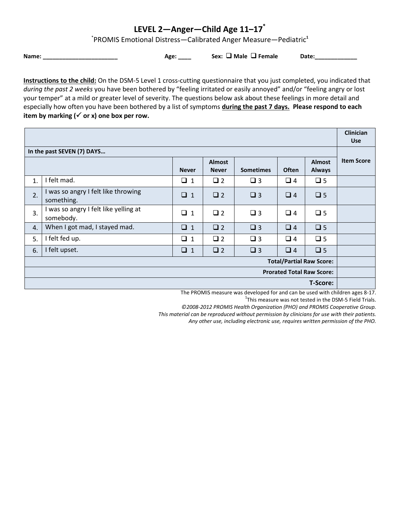## **LEVEL 2—Anger—Child Age 11–17\***

\* PROMIS Emotional Distress—Calibrated Anger Measure—Pediatric**<sup>1</sup>**

**Name: \_\_\_\_\_\_\_\_\_\_\_\_\_\_\_\_\_\_\_\_\_\_\_ Age: \_\_\_\_ Sex: Male Female Date:\_\_\_\_\_\_\_\_\_\_\_\_\_**

**Instructions to the child:** On the DSM-5 Level 1 cross-cutting questionnaire that you just completed, you indicated that *during the past 2 weeks* you have been bothered by "feeling irritated or easily annoyed" and/or "feeling angry or lost your temper" at a mild or greater level of severity. The questions below ask about these feelings in more detail and especially how often you have been bothered by a list of symptoms **during the past 7 days. Please respond to each**  item by marking  $(\checkmark)$  or x) one box per row.

|                                  |                                                    |              |                               |                  |              |                                | <b>Clinician</b><br><b>Use</b> |  |
|----------------------------------|----------------------------------------------------|--------------|-------------------------------|------------------|--------------|--------------------------------|--------------------------------|--|
| In the past SEVEN (7) DAYS       |                                                    |              |                               |                  |              |                                |                                |  |
|                                  |                                                    | <b>Never</b> | <b>Almost</b><br><b>Never</b> | <b>Sometimes</b> | <b>Often</b> | <b>Almost</b><br><b>Always</b> | <b>Item Score</b>              |  |
| $\mathbf{1}$ .                   | I felt mad.                                        | $\Box$ 1     | $\Box$ 2                      | $\Box$ 3         | $\Box$ 4     | $\square$ 5                    |                                |  |
| 2.                               | I was so angry I felt like throwing<br>something.  | $\Box$ 1     | $\Box$ 2                      | $\Box$ 3         | $\Box$ 4     | $\Box$ 5                       |                                |  |
| 3.                               | I was so angry I felt like yelling at<br>somebody. | $\Box$ 1     | $\Box$ 2                      | $\Box$ 3         | $\Box$ 4     | $\square$ 5                    |                                |  |
| 4.                               | When I got mad, I stayed mad.                      | $\Box$ 1     | $\Box$ 2                      | $\square$ 3      | $\Box$ 4     | $\square$ 5                    |                                |  |
| 5.                               | I felt fed up.                                     | $\Box$ 1     | $\Box$ 2                      | $\Box$ 3         | $\Box$ 4     | $\square$ 5                    |                                |  |
| 6.                               | I felt upset.                                      | $\Box$ 1     | $\square$ 2                   | $\square$ 3      | $\Box$ 4     | $\square$ 5                    |                                |  |
| <b>Total/Partial Raw Score:</b>  |                                                    |              |                               |                  |              |                                |                                |  |
| <b>Prorated Total Raw Score:</b> |                                                    |              |                               |                  |              |                                |                                |  |
| <b>T-Score:</b>                  |                                                    |              |                               |                  |              |                                |                                |  |

The PROMIS measure was developed for and can be used with children ages 8-17.

 $1$ This measure was not tested in the DSM-5 Field Trials.

*©2008-2012 PROMIS Health Organization (PHO) and PROMIS Cooperative Group.* 

*This material can be reproduced without permission by clinicians for use with their patients.*

*Any other use, including electronic use, requires written permission of the PHO.*